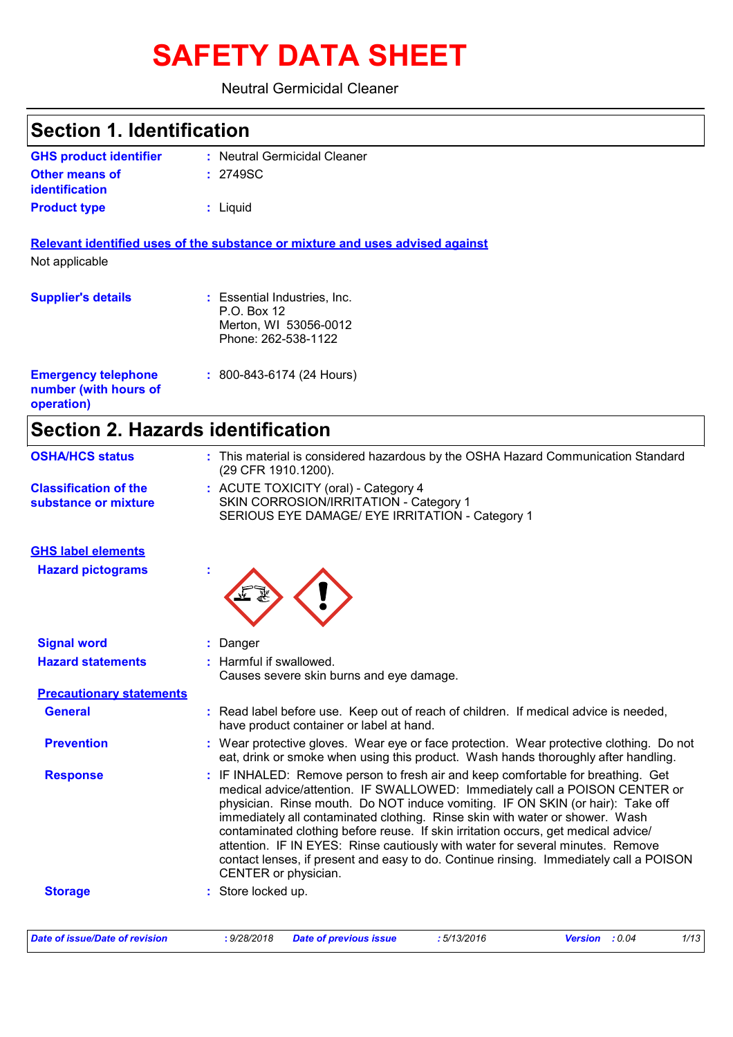# **SAFETY DATA SHEET**

#### Neutral Germicidal Cleaner

| <b>Section 1. Identification</b>                                  |                                                                                                          |
|-------------------------------------------------------------------|----------------------------------------------------------------------------------------------------------|
| <b>GHS product identifier</b>                                     | : Neutral Germicidal Cleaner                                                                             |
| Other means of<br><b>identification</b>                           | : 2749SC                                                                                                 |
| <b>Product type</b>                                               | : Liquid                                                                                                 |
|                                                                   | Relevant identified uses of the substance or mixture and uses advised against                            |
| Not applicable                                                    |                                                                                                          |
| <b>Supplier's details</b>                                         | : Essential Industries, Inc.<br>P.O. Box 12<br>Merton, WI 53056-0012<br>Phone: 262-538-1122              |
| <b>Emergency telephone</b><br>number (with hours of<br>operation) | : 800-843-6174 (24 Hours)                                                                                |
| <b>Section 2. Hazards identification</b>                          |                                                                                                          |
| <b>OSHA/HCS status</b>                                            | : This material is considered hazardous by the OSHA Hazard Communication Standard<br>(29 CFR 1910.1200). |
|                                                                   |                                                                                                          |

ACUTE TOXICITY (oral) - Category 4 **:** SKIN CORROSION/IRRITATION - Category 1 SERIOUS EYE DAMAGE/ EYE IRRITATION - Category 1 **Classification of the substance or mixture**

#### **GHS label elements**

**Hazard pictograms :**

**Signal word :** Danger

| <b>Hazard statements</b>        | : Harmful if swallowed.<br>Causes severe skin burns and eye damage.                                                                                                                                                                                                                                                                                                                                                                                                                                                                                                                                                         |
|---------------------------------|-----------------------------------------------------------------------------------------------------------------------------------------------------------------------------------------------------------------------------------------------------------------------------------------------------------------------------------------------------------------------------------------------------------------------------------------------------------------------------------------------------------------------------------------------------------------------------------------------------------------------------|
| <b>Precautionary statements</b> |                                                                                                                                                                                                                                                                                                                                                                                                                                                                                                                                                                                                                             |
| <b>General</b>                  | : Read label before use. Keep out of reach of children. If medical advice is needed,<br>have product container or label at hand.                                                                                                                                                                                                                                                                                                                                                                                                                                                                                            |
| <b>Prevention</b>               | : Wear protective gloves. Wear eye or face protection. Wear protective clothing. Do not<br>eat, drink or smoke when using this product. Wash hands thoroughly after handling.                                                                                                                                                                                                                                                                                                                                                                                                                                               |
| <b>Response</b>                 | : IF INHALED: Remove person to fresh air and keep comfortable for breathing. Get<br>medical advice/attention. IF SWALLOWED: Immediately call a POISON CENTER or<br>physician. Rinse mouth. Do NOT induce vomiting. IF ON SKIN (or hair): Take off<br>immediately all contaminated clothing. Rinse skin with water or shower. Wash<br>contaminated clothing before reuse. If skin irritation occurs, get medical advice/<br>attention. IF IN EYES: Rinse cautiously with water for several minutes. Remove<br>contact lenses, if present and easy to do. Continue rinsing. Immediately call a POISON<br>CENTER or physician. |
| <b>Storage</b>                  | : Store locked up.                                                                                                                                                                                                                                                                                                                                                                                                                                                                                                                                                                                                          |

| Date of issue/Date of revision | : 9/28/2018 | <b>Date of previous issue</b> | : 5/13/2016 | : 0.04<br><b>Version</b> | 1/13 |
|--------------------------------|-------------|-------------------------------|-------------|--------------------------|------|
|                                |             |                               |             |                          |      |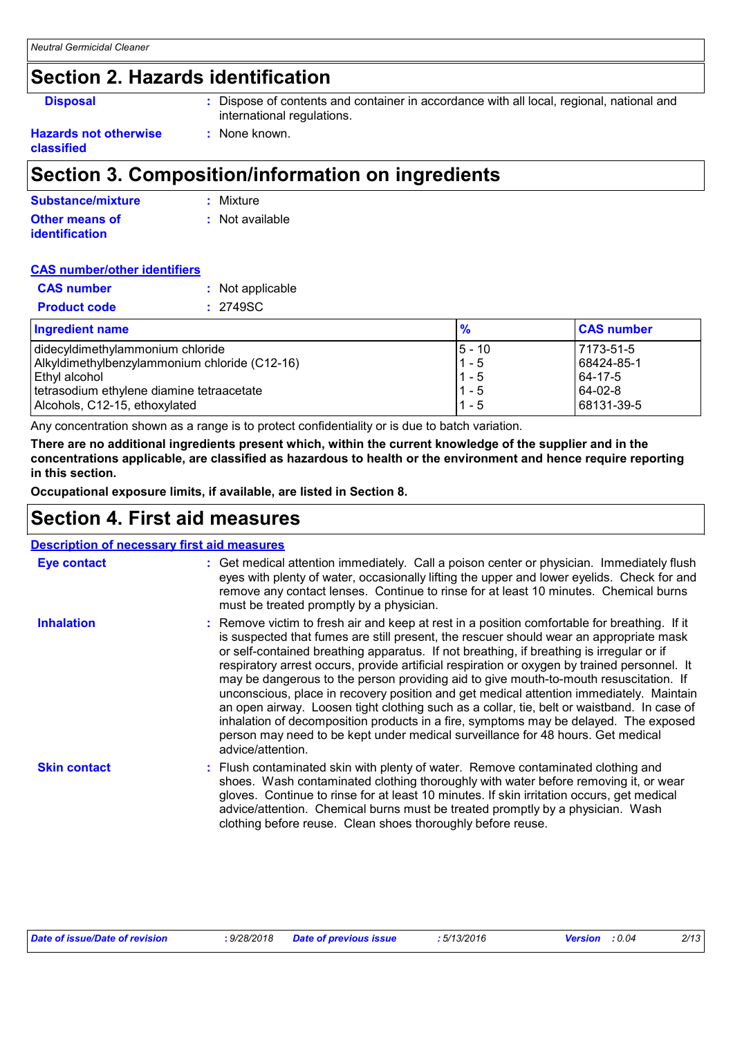### **Section 2. Hazards identification**

**Disposal :** Dispose of contents and container in accordance with all local, regional, national and international regulations.

#### **Hazards not otherwise classified**

## **Section 3. Composition/information on ingredients**

**:** None known.

| Substance/mixture     | : Mixture       |
|-----------------------|-----------------|
| Other means of        | : Not available |
| <i>identification</i> |                 |

#### **CAS number/other identifiers**

| <b>CAS</b> number   | : Not applicable |
|---------------------|------------------|
| <b>Product code</b> | : 2749SC         |
|                     |                  |

| <b>Ingredient name</b>                        |           | <b>CAS number</b> |
|-----------------------------------------------|-----------|-------------------|
| didecyldimethylammonium chloride              | $15 - 10$ | 7173-51-5         |
| Alkyldimethylbenzylammonium chloride (C12-16) | $1 - 5$   | 68424-85-1        |
| ∣Ethyl alcohol                                | $1 - 5$   | 64-17-5           |
| tetrasodium ethylene diamine tetraacetate     | $1 - 5$   | 64-02-8           |
| Alcohols, C12-15, ethoxylated                 | $1 - 5$   | 68131-39-5        |

Any concentration shown as a range is to protect confidentiality or is due to batch variation.

**There are no additional ingredients present which, within the current knowledge of the supplier and in the concentrations applicable, are classified as hazardous to health or the environment and hence require reporting in this section.**

**Occupational exposure limits, if available, are listed in Section 8.**

### **Section 4. First aid measures**

| <b>Description of necessary first aid measures</b> |                                                                                                                                                                                                                                                                                                                                                                                                                                                                                                                                                                                                                                                                                                                                                                                                                                                                      |  |  |
|----------------------------------------------------|----------------------------------------------------------------------------------------------------------------------------------------------------------------------------------------------------------------------------------------------------------------------------------------------------------------------------------------------------------------------------------------------------------------------------------------------------------------------------------------------------------------------------------------------------------------------------------------------------------------------------------------------------------------------------------------------------------------------------------------------------------------------------------------------------------------------------------------------------------------------|--|--|
| Eye contact                                        | : Get medical attention immediately. Call a poison center or physician. Immediately flush<br>eyes with plenty of water, occasionally lifting the upper and lower eyelids. Check for and<br>remove any contact lenses. Continue to rinse for at least 10 minutes. Chemical burns<br>must be treated promptly by a physician.                                                                                                                                                                                                                                                                                                                                                                                                                                                                                                                                          |  |  |
| <b>Inhalation</b>                                  | : Remove victim to fresh air and keep at rest in a position comfortable for breathing. If it<br>is suspected that fumes are still present, the rescuer should wear an appropriate mask<br>or self-contained breathing apparatus. If not breathing, if breathing is irregular or if<br>respiratory arrest occurs, provide artificial respiration or oxygen by trained personnel. It<br>may be dangerous to the person providing aid to give mouth-to-mouth resuscitation. If<br>unconscious, place in recovery position and get medical attention immediately. Maintain<br>an open airway. Loosen tight clothing such as a collar, tie, belt or waistband. In case of<br>inhalation of decomposition products in a fire, symptoms may be delayed. The exposed<br>person may need to be kept under medical surveillance for 48 hours. Get medical<br>advice/attention. |  |  |
| <b>Skin contact</b>                                | : Flush contaminated skin with plenty of water. Remove contaminated clothing and<br>shoes. Wash contaminated clothing thoroughly with water before removing it, or wear<br>gloves. Continue to rinse for at least 10 minutes. If skin irritation occurs, get medical<br>advice/attention. Chemical burns must be treated promptly by a physician. Wash<br>clothing before reuse. Clean shoes thoroughly before reuse.                                                                                                                                                                                                                                                                                                                                                                                                                                                |  |  |

| Date of issue/Date of revision | 9/28/2018 | Date of previous issue<br>. | 5/13/2016<br>. | 0.04<br>Versior | 2/13 |
|--------------------------------|-----------|-----------------------------|----------------|-----------------|------|
|                                |           |                             |                |                 |      |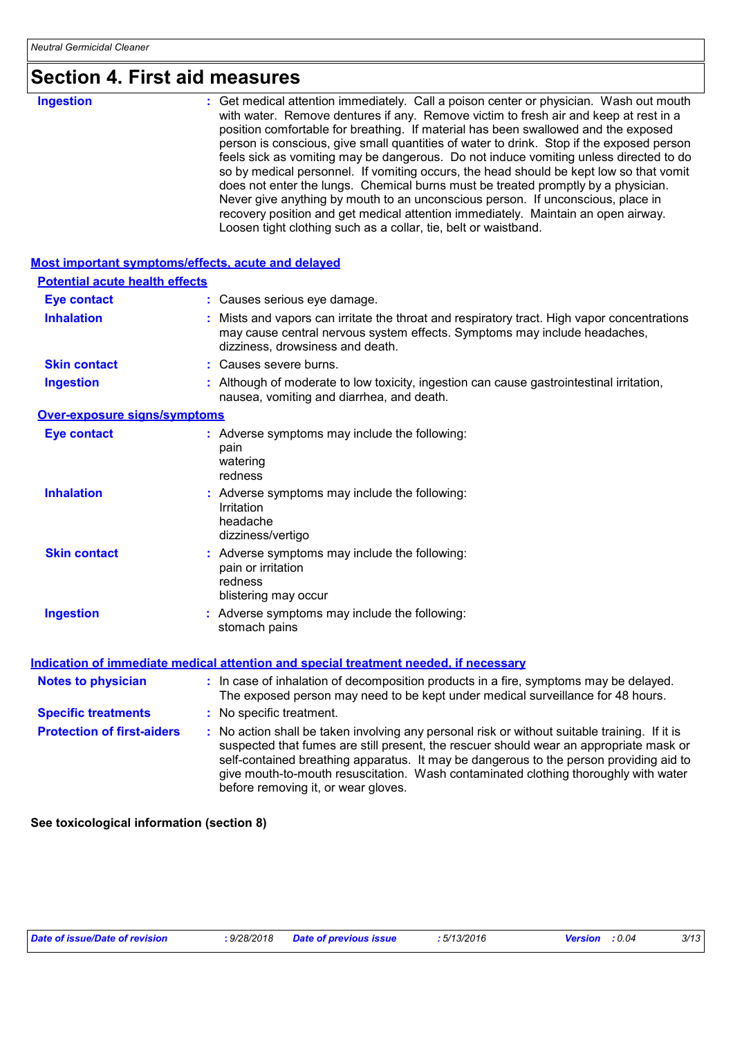## **Section 4. First aid measures**

| <b>Ingestion</b>                                          | : Get medical attention immediately. Call a poison center or physician. Wash out mouth<br>with water. Remove dentures if any. Remove victim to fresh air and keep at rest in a<br>position comfortable for breathing. If material has been swallowed and the exposed<br>person is conscious, give small quantities of water to drink. Stop if the exposed person<br>feels sick as vomiting may be dangerous. Do not induce vomiting unless directed to do<br>so by medical personnel. If vomiting occurs, the head should be kept low so that vomit<br>does not enter the lungs. Chemical burns must be treated promptly by a physician.<br>Never give anything by mouth to an unconscious person. If unconscious, place in<br>recovery position and get medical attention immediately. Maintain an open airway.<br>Loosen tight clothing such as a collar, tie, belt or waistband. |
|-----------------------------------------------------------|-------------------------------------------------------------------------------------------------------------------------------------------------------------------------------------------------------------------------------------------------------------------------------------------------------------------------------------------------------------------------------------------------------------------------------------------------------------------------------------------------------------------------------------------------------------------------------------------------------------------------------------------------------------------------------------------------------------------------------------------------------------------------------------------------------------------------------------------------------------------------------------|
| <b>Most important symptoms/effects, acute and delayed</b> |                                                                                                                                                                                                                                                                                                                                                                                                                                                                                                                                                                                                                                                                                                                                                                                                                                                                                     |
| <b>Potential acute health effects</b>                     |                                                                                                                                                                                                                                                                                                                                                                                                                                                                                                                                                                                                                                                                                                                                                                                                                                                                                     |
| <b>Eye contact</b>                                        | : Causes serious eye damage.                                                                                                                                                                                                                                                                                                                                                                                                                                                                                                                                                                                                                                                                                                                                                                                                                                                        |
| <b>Inhalation</b>                                         | Mists and vapors can irritate the throat and respiratory tract. High vapor concentrations<br>may cause central nervous system effects. Symptoms may include headaches,<br>dizziness, drowsiness and death.                                                                                                                                                                                                                                                                                                                                                                                                                                                                                                                                                                                                                                                                          |

- **Skin contact :** Causes severe burns.
- Although of moderate to low toxicity, ingestion can cause gastrointestinal irritation, nausea, vomiting and diarrhea, and death. **Ingestion :**

#### **Over-exposure signs/symptoms**

| <b>Eye contact</b>  | : Adverse symptoms may include the following:<br>pain<br>watering<br>redness                           |
|---------------------|--------------------------------------------------------------------------------------------------------|
| <b>Inhalation</b>   | : Adverse symptoms may include the following:<br>Irritation<br>headache<br>dizziness/vertigo           |
| <b>Skin contact</b> | : Adverse symptoms may include the following:<br>pain or irritation<br>redness<br>blistering may occur |
| <b>Ingestion</b>    | : Adverse symptoms may include the following:<br>stomach pains                                         |

#### **Indication of immediate medical attention and special treatment needed, if necessary**

| <b>Notes to physician</b>         | : In case of inhalation of decomposition products in a fire, symptoms may be delayed.<br>The exposed person may need to be kept under medical surveillance for 48 hours.                                                                                                                                                                                                                                        |
|-----------------------------------|-----------------------------------------------------------------------------------------------------------------------------------------------------------------------------------------------------------------------------------------------------------------------------------------------------------------------------------------------------------------------------------------------------------------|
| <b>Specific treatments</b>        | : No specific treatment.                                                                                                                                                                                                                                                                                                                                                                                        |
| <b>Protection of first-aiders</b> | : No action shall be taken involving any personal risk or without suitable training. If it is<br>suspected that fumes are still present, the rescuer should wear an appropriate mask or<br>self-contained breathing apparatus. It may be dangerous to the person providing aid to<br>give mouth-to-mouth resuscitation. Wash contaminated clothing thoroughly with water<br>before removing it, or wear gloves. |

**See toxicological information (section 8)**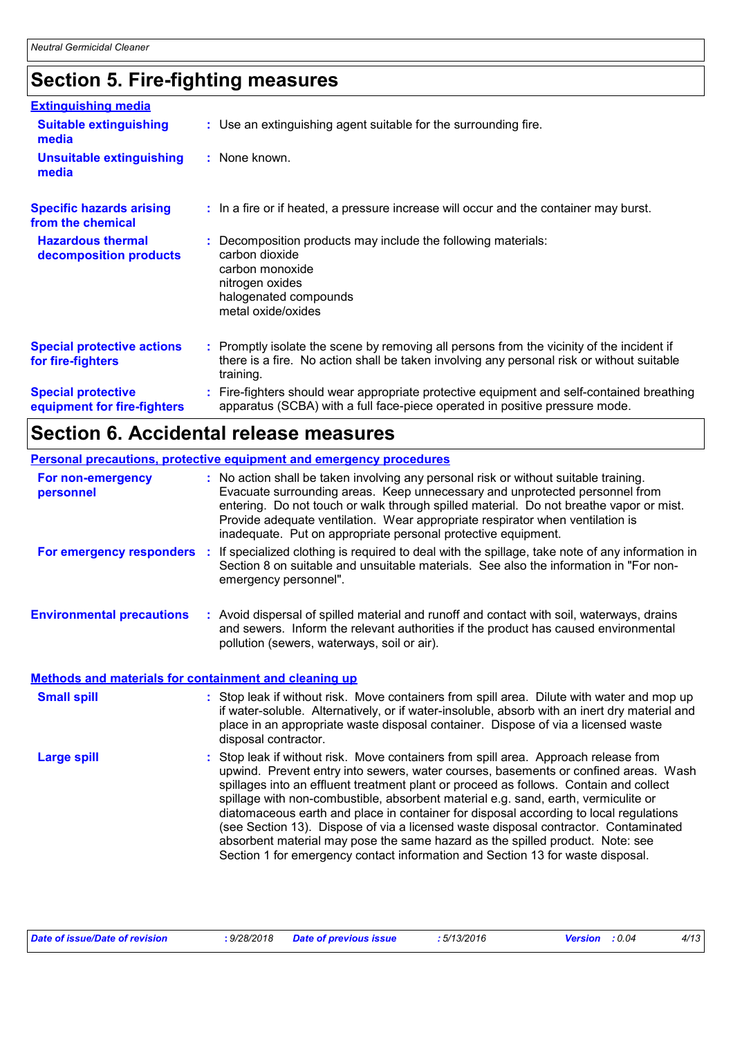# **Section 5. Fire-fighting measures**

| <b>Extinguishing media</b>                               |                                                                                                                                                                                                     |
|----------------------------------------------------------|-----------------------------------------------------------------------------------------------------------------------------------------------------------------------------------------------------|
| <b>Suitable extinguishing</b><br>media                   | : Use an extinguishing agent suitable for the surrounding fire.                                                                                                                                     |
| <b>Unsuitable extinguishing</b><br>media                 | : None known.                                                                                                                                                                                       |
| <b>Specific hazards arising</b><br>from the chemical     | : In a fire or if heated, a pressure increase will occur and the container may burst.                                                                                                               |
| <b>Hazardous thermal</b><br>decomposition products       | Decomposition products may include the following materials:<br>carbon dioxide<br>carbon monoxide<br>nitrogen oxides<br>halogenated compounds<br>metal oxide/oxides                                  |
| <b>Special protective actions</b><br>for fire-fighters   | : Promptly isolate the scene by removing all persons from the vicinity of the incident if<br>there is a fire. No action shall be taken involving any personal risk or without suitable<br>training. |
| <b>Special protective</b><br>equipment for fire-fighters | Fire-fighters should wear appropriate protective equipment and self-contained breathing<br>apparatus (SCBA) with a full face-piece operated in positive pressure mode.                              |

# **Section 6. Accidental release measures**

|                                                              | Personal precautions, protective equipment and emergency procedures                                                                                                                                                                                                                                                                                                                                                                                                                                                                                                                                                                                                                                          |
|--------------------------------------------------------------|--------------------------------------------------------------------------------------------------------------------------------------------------------------------------------------------------------------------------------------------------------------------------------------------------------------------------------------------------------------------------------------------------------------------------------------------------------------------------------------------------------------------------------------------------------------------------------------------------------------------------------------------------------------------------------------------------------------|
| For non-emergency<br>personnel                               | : No action shall be taken involving any personal risk or without suitable training.<br>Evacuate surrounding areas. Keep unnecessary and unprotected personnel from<br>entering. Do not touch or walk through spilled material. Do not breathe vapor or mist.<br>Provide adequate ventilation. Wear appropriate respirator when ventilation is<br>inadequate. Put on appropriate personal protective equipment.                                                                                                                                                                                                                                                                                              |
| For emergency responders :                                   | If specialized clothing is required to deal with the spillage, take note of any information in<br>Section 8 on suitable and unsuitable materials. See also the information in "For non-<br>emergency personnel".                                                                                                                                                                                                                                                                                                                                                                                                                                                                                             |
| <b>Environmental precautions</b>                             | : Avoid dispersal of spilled material and runoff and contact with soil, waterways, drains<br>and sewers. Inform the relevant authorities if the product has caused environmental<br>pollution (sewers, waterways, soil or air).                                                                                                                                                                                                                                                                                                                                                                                                                                                                              |
| <b>Methods and materials for containment and cleaning up</b> |                                                                                                                                                                                                                                                                                                                                                                                                                                                                                                                                                                                                                                                                                                              |
| <b>Small spill</b>                                           | : Stop leak if without risk. Move containers from spill area. Dilute with water and mop up<br>if water-soluble. Alternatively, or if water-insoluble, absorb with an inert dry material and<br>place in an appropriate waste disposal container. Dispose of via a licensed waste<br>disposal contractor.                                                                                                                                                                                                                                                                                                                                                                                                     |
| <b>Large spill</b>                                           | : Stop leak if without risk. Move containers from spill area. Approach release from<br>upwind. Prevent entry into sewers, water courses, basements or confined areas. Wash<br>spillages into an effluent treatment plant or proceed as follows. Contain and collect<br>spillage with non-combustible, absorbent material e.g. sand, earth, vermiculite or<br>diatomaceous earth and place in container for disposal according to local regulations<br>(see Section 13). Dispose of via a licensed waste disposal contractor. Contaminated<br>absorbent material may pose the same hazard as the spilled product. Note: see<br>Section 1 for emergency contact information and Section 13 for waste disposal. |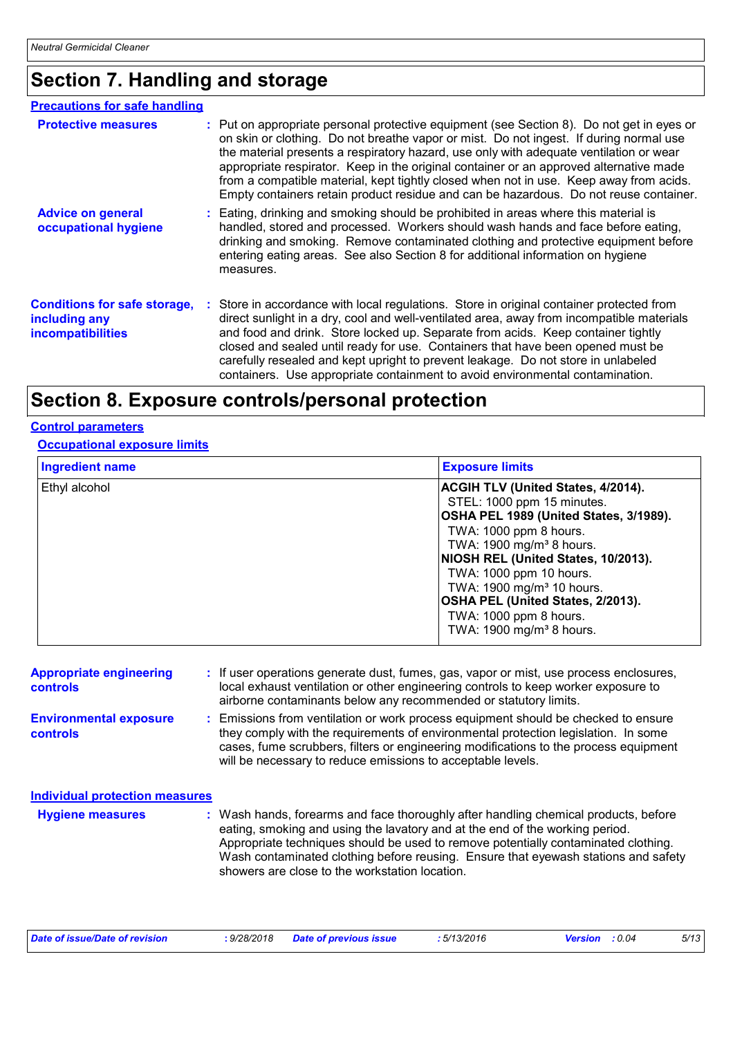# **Section 7. Handling and storage**

| <b>Precautions for safe handling</b>                                             |                                                                                                                                                                                                                                                                                                                                                                                                                                                                                                                                                            |
|----------------------------------------------------------------------------------|------------------------------------------------------------------------------------------------------------------------------------------------------------------------------------------------------------------------------------------------------------------------------------------------------------------------------------------------------------------------------------------------------------------------------------------------------------------------------------------------------------------------------------------------------------|
| <b>Protective measures</b>                                                       | : Put on appropriate personal protective equipment (see Section 8). Do not get in eyes or<br>on skin or clothing. Do not breathe vapor or mist. Do not ingest. If during normal use<br>the material presents a respiratory hazard, use only with adequate ventilation or wear<br>appropriate respirator. Keep in the original container or an approved alternative made<br>from a compatible material, kept tightly closed when not in use. Keep away from acids.<br>Empty containers retain product residue and can be hazardous. Do not reuse container. |
| <b>Advice on general</b><br>occupational hygiene                                 | : Eating, drinking and smoking should be prohibited in areas where this material is<br>handled, stored and processed. Workers should wash hands and face before eating,<br>drinking and smoking. Remove contaminated clothing and protective equipment before<br>entering eating areas. See also Section 8 for additional information on hygiene<br>measures.                                                                                                                                                                                              |
| <b>Conditions for safe storage,</b><br>including any<br><b>incompatibilities</b> | Store in accordance with local regulations. Store in original container protected from<br>direct sunlight in a dry, cool and well-ventilated area, away from incompatible materials<br>and food and drink. Store locked up. Separate from acids. Keep container tightly<br>closed and sealed until ready for use. Containers that have been opened must be<br>carefully resealed and kept upright to prevent leakage. Do not store in unlabeled<br>containers. Use appropriate containment to avoid environmental contamination.                           |

### **Section 8. Exposure controls/personal protection**

#### **Control parameters**

#### **Occupational exposure limits**

| <b>Ingredient name</b> | <b>Exposure limits</b>                    |  |  |
|------------------------|-------------------------------------------|--|--|
| Ethyl alcohol          | <b>ACGIH TLV (United States, 4/2014).</b> |  |  |
|                        | STEL: 1000 ppm 15 minutes.                |  |  |
|                        | OSHA PEL 1989 (United States, 3/1989).    |  |  |
|                        | TWA: 1000 ppm 8 hours.                    |  |  |
|                        | TWA: 1900 mg/m <sup>3</sup> 8 hours.      |  |  |
|                        | NIOSH REL (United States, 10/2013).       |  |  |
|                        | TWA: 1000 ppm 10 hours.                   |  |  |
|                        | TWA: 1900 mg/m <sup>3</sup> 10 hours.     |  |  |
|                        | <b>OSHA PEL (United States, 2/2013).</b>  |  |  |
|                        | TWA: 1000 ppm 8 hours.                    |  |  |
|                        | TWA: 1900 mg/m <sup>3</sup> 8 hours.      |  |  |

| <b>Appropriate engineering</b><br><b>controls</b> | : If user operations generate dust, fumes, gas, vapor or mist, use process enclosures,<br>local exhaust ventilation or other engineering controls to keep worker exposure to                                                                                                                                                                                                                      |
|---------------------------------------------------|---------------------------------------------------------------------------------------------------------------------------------------------------------------------------------------------------------------------------------------------------------------------------------------------------------------------------------------------------------------------------------------------------|
|                                                   | airborne contaminants below any recommended or statutory limits.                                                                                                                                                                                                                                                                                                                                  |
| <b>Environmental exposure</b><br><b>controls</b>  | : Emissions from ventilation or work process equipment should be checked to ensure<br>they comply with the requirements of environmental protection legislation. In some<br>cases, fume scrubbers, filters or engineering modifications to the process equipment<br>will be necessary to reduce emissions to acceptable levels.                                                                   |
| <b>Individual protection measures</b>             |                                                                                                                                                                                                                                                                                                                                                                                                   |
| <b>Hygiene measures</b>                           | : Wash hands, forearms and face thoroughly after handling chemical products, before<br>eating, smoking and using the lavatory and at the end of the working period.<br>Appropriate techniques should be used to remove potentially contaminated clothing.<br>Wash contaminated clothing before reusing. Ensure that eyewash stations and safety<br>showers are close to the workstation location. |

| Date of issue/Date of revision | : 9/28/2018 Date of previous issue | : 5/13/2016 | <b>Version</b> : 0.04 | 5/13 |
|--------------------------------|------------------------------------|-------------|-----------------------|------|
|                                |                                    |             |                       |      |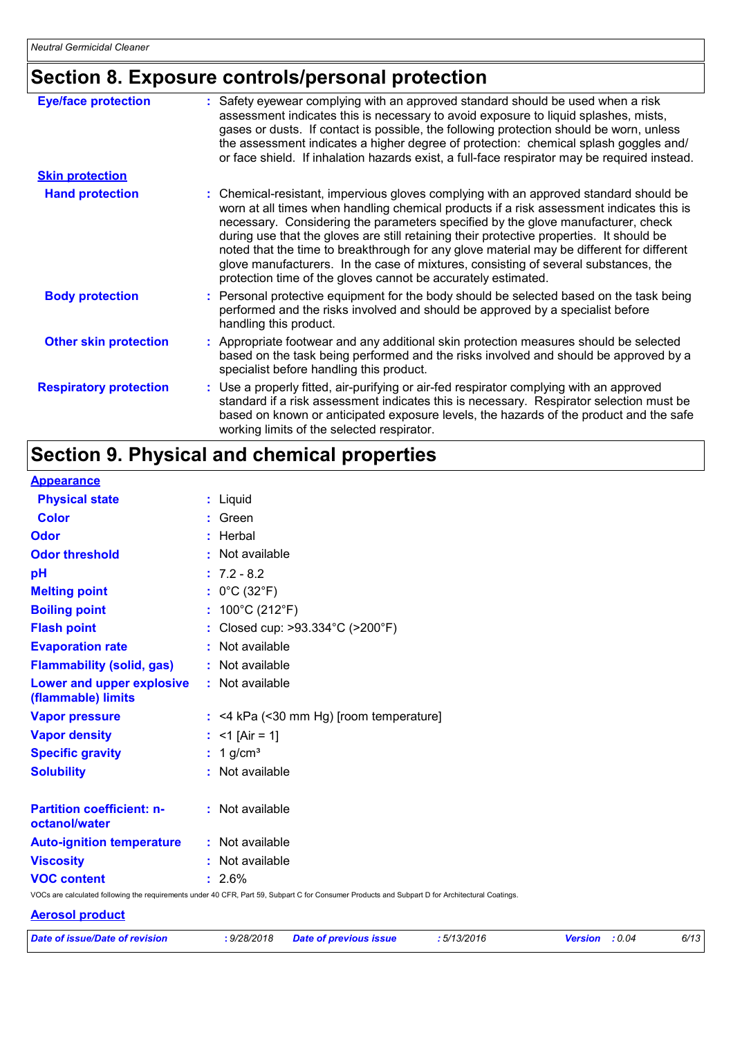# **Section 8. Exposure controls/personal protection**

| <b>Eye/face protection</b>    | Safety eyewear complying with an approved standard should be used when a risk<br>assessment indicates this is necessary to avoid exposure to liquid splashes, mists,<br>gases or dusts. If contact is possible, the following protection should be worn, unless<br>the assessment indicates a higher degree of protection: chemical splash goggles and/<br>or face shield. If inhalation hazards exist, a full-face respirator may be required instead.                                                                                                                                                                |
|-------------------------------|------------------------------------------------------------------------------------------------------------------------------------------------------------------------------------------------------------------------------------------------------------------------------------------------------------------------------------------------------------------------------------------------------------------------------------------------------------------------------------------------------------------------------------------------------------------------------------------------------------------------|
| <b>Skin protection</b>        |                                                                                                                                                                                                                                                                                                                                                                                                                                                                                                                                                                                                                        |
| <b>Hand protection</b>        | : Chemical-resistant, impervious gloves complying with an approved standard should be<br>worn at all times when handling chemical products if a risk assessment indicates this is<br>necessary. Considering the parameters specified by the glove manufacturer, check<br>during use that the gloves are still retaining their protective properties. It should be<br>noted that the time to breakthrough for any glove material may be different for different<br>glove manufacturers. In the case of mixtures, consisting of several substances, the<br>protection time of the gloves cannot be accurately estimated. |
| <b>Body protection</b>        | : Personal protective equipment for the body should be selected based on the task being<br>performed and the risks involved and should be approved by a specialist before<br>handling this product.                                                                                                                                                                                                                                                                                                                                                                                                                    |
| <b>Other skin protection</b>  | : Appropriate footwear and any additional skin protection measures should be selected<br>based on the task being performed and the risks involved and should be approved by a<br>specialist before handling this product.                                                                                                                                                                                                                                                                                                                                                                                              |
| <b>Respiratory protection</b> | : Use a properly fitted, air-purifying or air-fed respirator complying with an approved<br>standard if a risk assessment indicates this is necessary. Respirator selection must be<br>based on known or anticipated exposure levels, the hazards of the product and the safe<br>working limits of the selected respirator.                                                                                                                                                                                                                                                                                             |

# **Section 9. Physical and chemical properties**

| <b>Appearance</b>                                 |                                                                                                                                                 |
|---------------------------------------------------|-------------------------------------------------------------------------------------------------------------------------------------------------|
| <b>Physical state</b>                             | : Liquid                                                                                                                                        |
| <b>Color</b>                                      | $:$ Green                                                                                                                                       |
| Odor                                              | : Herbal                                                                                                                                        |
| <b>Odor threshold</b>                             | : Not available                                                                                                                                 |
| pH                                                | $: 7.2 - 8.2$                                                                                                                                   |
| <b>Melting point</b>                              | : $0^{\circ}$ C (32 $^{\circ}$ F)                                                                                                               |
| <b>Boiling point</b>                              | : $100^{\circ}$ C (212 $^{\circ}$ F)                                                                                                            |
| <b>Flash point</b>                                | : Closed cup: >93.334°C (>200°F)                                                                                                                |
| <b>Evaporation rate</b>                           | : Not available                                                                                                                                 |
| <b>Flammability (solid, gas)</b>                  | : Not available                                                                                                                                 |
| Lower and upper explosive<br>(flammable) limits   | : Not available                                                                                                                                 |
| <b>Vapor pressure</b>                             | $:$ <4 kPa (<30 mm Hg) [room temperature]                                                                                                       |
| <b>Vapor density</b>                              | : <1 $[Air = 1]$                                                                                                                                |
| <b>Specific gravity</b>                           | $: 1$ g/cm <sup>3</sup>                                                                                                                         |
| <b>Solubility</b>                                 | : Not available                                                                                                                                 |
| <b>Partition coefficient: n-</b><br>octanol/water | : Not available                                                                                                                                 |
| <b>Auto-ignition temperature</b>                  | : Not available                                                                                                                                 |
| <b>Viscosity</b>                                  | : Not available                                                                                                                                 |
| <b>VOC content</b>                                | $: 2.6\%$                                                                                                                                       |
|                                                   | VOCs are calculated following the requirements under 40 CFR, Part 59, Subpart C for Consumer Products and Subpart D for Architectural Coatings. |

#### **Aerosol product**

|  |  | Date of issue/Date of revision |
|--|--|--------------------------------|
|  |  |                                |

*Date of issue/Date of revision* **:** *9/28/2018 Date of previous issue : 5/13/2016 Version : 0.04 6/13*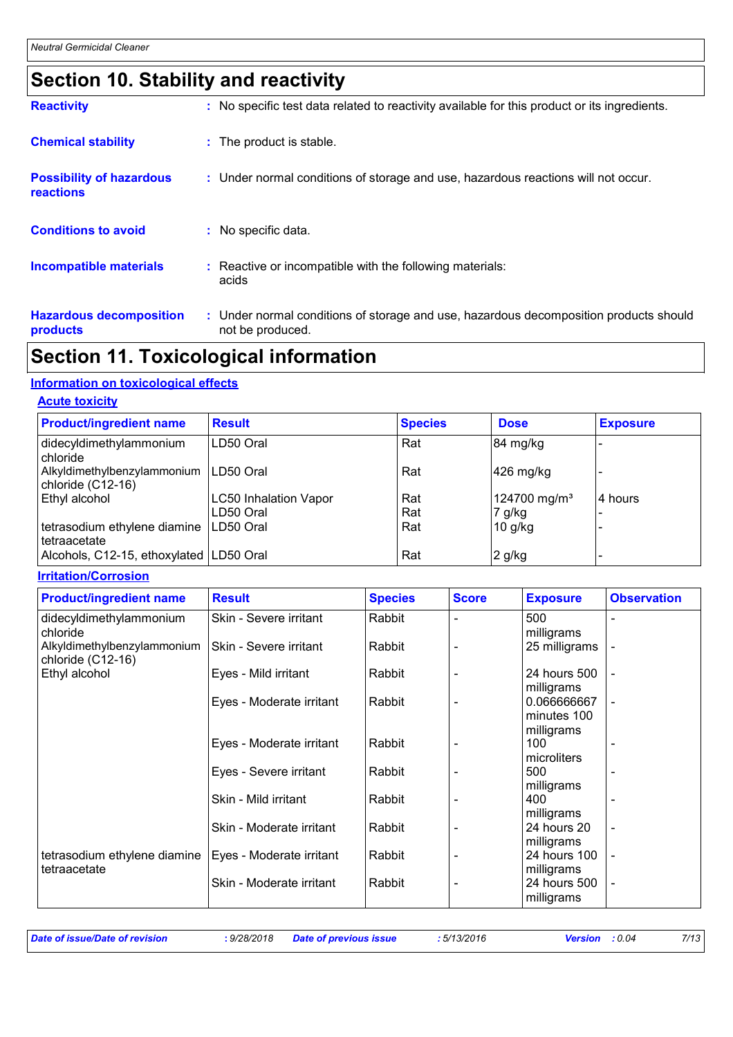# **Section 10. Stability and reactivity**

| <b>Reactivity</b>                                   | : No specific test data related to reactivity available for this product or its ingredients.              |
|-----------------------------------------------------|-----------------------------------------------------------------------------------------------------------|
| <b>Chemical stability</b>                           | : The product is stable.                                                                                  |
| <b>Possibility of hazardous</b><br><b>reactions</b> | : Under normal conditions of storage and use, hazardous reactions will not occur.                         |
| <b>Conditions to avoid</b>                          | : No specific data.                                                                                       |
| <b>Incompatible materials</b>                       | : Reactive or incompatible with the following materials:<br>acids                                         |
| <b>Hazardous decomposition</b><br>products          | : Under normal conditions of storage and use, hazardous decomposition products should<br>not be produced. |

### **Section 11. Toxicological information**

#### **Information on toxicological effects**

#### **Acute toxicity**

| <b>Product/ingredient name</b>                   | <b>Result</b>                | <b>Species</b> | <b>Dose</b>              | <b>Exposure</b> |
|--------------------------------------------------|------------------------------|----------------|--------------------------|-----------------|
| didecyldimethylammonium<br>chloride              | LD50 Oral                    | Rat            | 84 mg/kg                 |                 |
| Alkyldimethylbenzylammonium<br>chloride (C12-16) | LD50 Oral                    | Rat            | $426$ mg/kg              |                 |
| Ethyl alcohol                                    | <b>LC50 Inhalation Vapor</b> | Rat            | 124700 mg/m <sup>3</sup> | 4 hours         |
|                                                  | LD50 Oral                    | Rat            | 7 g/kg                   |                 |
| tetrasodium ethylene diamine<br>tetraacetate     | LD50 Oral                    | Rat            | $10$ g/kg                |                 |
| Alcohols, C12-15, ethoxylated LD50 Oral          |                              | Rat            | $2$ g/kg                 |                 |

#### **Irritation/Corrosion**

| <b>Product/ingredient name</b>                   | <b>Result</b>            | <b>Species</b> | <b>Score</b> | <b>Exposure</b> | <b>Observation</b> |
|--------------------------------------------------|--------------------------|----------------|--------------|-----------------|--------------------|
| didecyldimethylammonium                          | Skin - Severe irritant   | Rabbit         |              | 500             |                    |
| chloride                                         |                          |                |              | milligrams      |                    |
| Alkyldimethylbenzylammonium<br>chloride (C12-16) | Skin - Severe irritant   | Rabbit         |              | 25 milligrams   | $\overline{a}$     |
| Ethyl alcohol                                    | Eyes - Mild irritant     | Rabbit         |              | 24 hours 500    |                    |
|                                                  |                          |                |              | milligrams      |                    |
|                                                  | Eyes - Moderate irritant | Rabbit         |              | 0.066666667     |                    |
|                                                  |                          |                |              | minutes 100     |                    |
|                                                  |                          |                |              | milligrams      |                    |
|                                                  | Eyes - Moderate irritant | Rabbit         |              | 100             |                    |
|                                                  |                          |                |              | microliters     |                    |
|                                                  | Eyes - Severe irritant   | Rabbit         |              | 500             |                    |
|                                                  |                          |                |              | milligrams      |                    |
|                                                  | Skin - Mild irritant     | Rabbit         |              | 400             |                    |
|                                                  |                          |                |              | milligrams      |                    |
|                                                  | Skin - Moderate irritant | Rabbit         |              | 24 hours 20     | $\blacksquare$     |
|                                                  |                          |                |              | milligrams      |                    |
| tetrasodium ethylene diamine                     | Eyes - Moderate irritant | Rabbit         |              | 24 hours 100    |                    |
| tetraacetate                                     |                          |                |              | milligrams      |                    |
|                                                  | Skin - Moderate irritant | Rabbit         |              | 24 hours 500    | $\overline{a}$     |
|                                                  |                          |                |              | milligrams      |                    |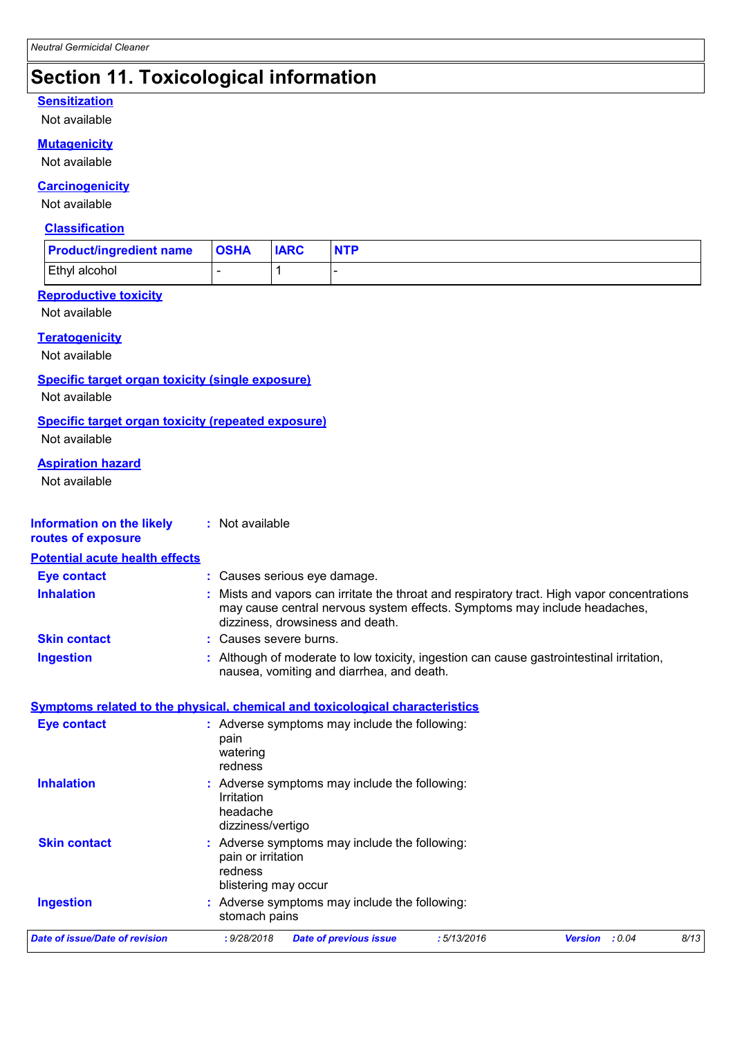# **Section 11. Toxicological information**

#### **Sensitization**

Not available

#### **Mutagenicity**

Not available

#### **Carcinogenicity**

Not available

#### **Classification**

| <b>Product/ingredient name</b> | <b>OSHA</b> | <b>IARC</b> | <b>NTP</b> |
|--------------------------------|-------------|-------------|------------|
| Ethyl alcohol                  |             |             |            |

#### **Reproductive toxicity**

Not available

#### **Teratogenicity**

Not available

#### **Specific target organ toxicity (single exposure)**

Not available

#### **Specific target organ toxicity (repeated exposure)**

Not available

#### **Aspiration hazard**

Not available

| Information on the likely<br>routes of exposure | : Not available                                                                                                                                                                                            |
|-------------------------------------------------|------------------------------------------------------------------------------------------------------------------------------------------------------------------------------------------------------------|
| <b>Potential acute health effects</b>           |                                                                                                                                                                                                            |
| <b>Eye contact</b>                              | : Causes serious eye damage.                                                                                                                                                                               |
| <b>Inhalation</b>                               | Mists and vapors can irritate the throat and respiratory tract. High vapor concentrations<br>may cause central nervous system effects. Symptoms may include headaches,<br>dizziness, drowsiness and death. |
| <b>Skin contact</b>                             | : Causes severe burns.                                                                                                                                                                                     |
| <b>Ingestion</b>                                | Although of moderate to low toxicity, ingestion can cause gastrointestinal irritation,<br>nausea, vomiting and diarrhea, and death.                                                                        |
| <b>Eye contact</b>                              | Symptoms related to the physical, chemical and toxicological characteristics<br>: Adverse symptoms may include the following:<br>pain<br>watering                                                          |
| <b>Inhalation</b>                               | redness<br>: Adverse symptoms may include the following:<br>Irritation<br>headache                                                                                                                         |
|                                                 | dizziness/vertigo                                                                                                                                                                                          |
| <b>Skin contact</b>                             | : Adverse symptoms may include the following:<br>pain or irritation<br>redness<br>blistering may occur                                                                                                     |
| <b>Ingestion</b>                                | : Adverse symptoms may include the following:<br>stomach pains                                                                                                                                             |
| <b>Date of issue/Date of revision</b>           | : 9/28/2018<br><b>Date of previous issue</b><br>:5/13/2016<br>Version : 0.04<br>8/13                                                                                                                       |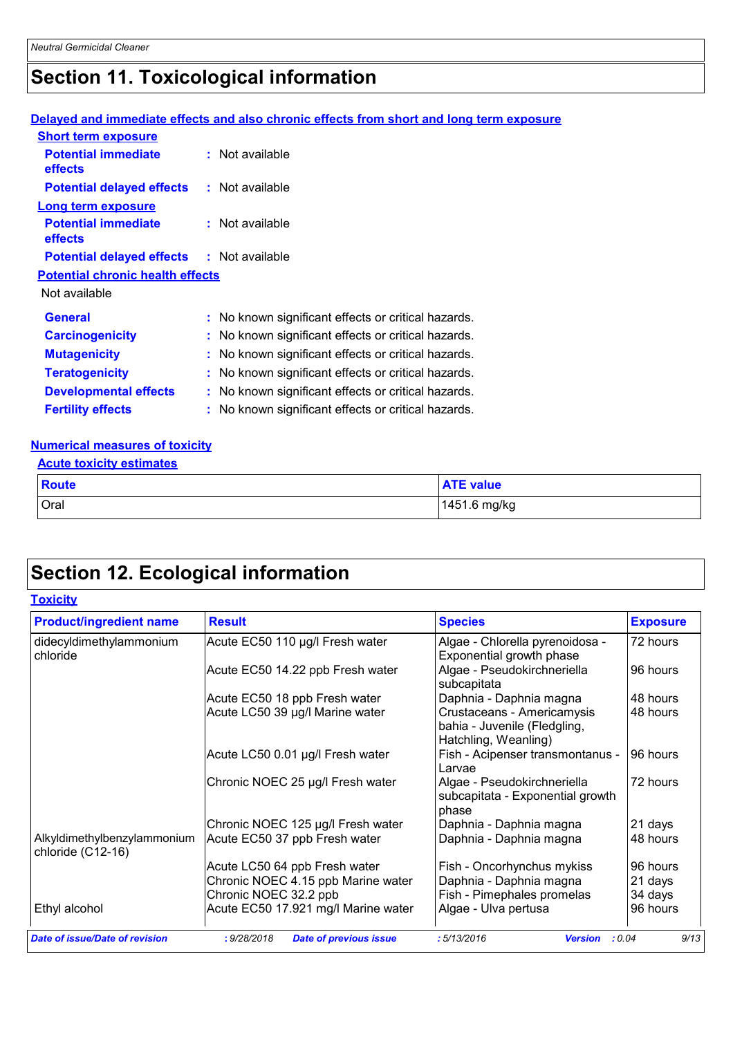# **Section 11. Toxicological information**

### **Delayed and immediate effects and also chronic effects from short and long term exposure**

| <b>Short term exposure</b>                       |                                                     |
|--------------------------------------------------|-----------------------------------------------------|
| <b>Potential immediate</b><br>effects            | : Not available                                     |
| <b>Potential delayed effects</b>                 | : Not available                                     |
| <b>Long term exposure</b>                        |                                                     |
| <b>Potential immediate</b><br>effects            | : Not available                                     |
| <b>Potential delayed effects : Not available</b> |                                                     |
| <b>Potential chronic health effects</b>          |                                                     |
| Not available                                    |                                                     |
| <b>General</b>                                   | : No known significant effects or critical hazards. |
| <b>Carcinogenicity</b>                           | : No known significant effects or critical hazards. |
| <b>Mutagenicity</b>                              | : No known significant effects or critical hazards. |
| <b>Teratogenicity</b>                            | : No known significant effects or critical hazards. |
| <b>Developmental effects</b>                     | : No known significant effects or critical hazards. |
| <b>Fertility effects</b>                         | : No known significant effects or critical hazards. |

#### **Numerical measures of toxicity**

| <b>Acute toxicity estimates</b> |                  |  |  |  |  |
|---------------------------------|------------------|--|--|--|--|
| <b>Route</b>                    | <b>ATE</b> value |  |  |  |  |
| Oral                            | 1451.6 mg/kg     |  |  |  |  |

# **Section 12. Ecological information**

| <b>Product/ingredient name</b>                   | <b>Result</b>                       | <b>Species</b>                                                                     | <b>Exposure</b> |
|--------------------------------------------------|-------------------------------------|------------------------------------------------------------------------------------|-----------------|
| didecyldimethylammonium<br>chloride              | Acute EC50 110 µg/l Fresh water     | Algae - Chlorella pyrenoidosa -<br>Exponential growth phase                        | 72 hours        |
|                                                  | Acute EC50 14.22 ppb Fresh water    | Algae - Pseudokirchneriella<br>subcapitata                                         | 96 hours        |
|                                                  | Acute EC50 18 ppb Fresh water       | Daphnia - Daphnia magna                                                            | 48 hours        |
|                                                  | Acute LC50 39 µg/l Marine water     | Crustaceans - Americamysis<br>bahia - Juvenile (Fledgling,<br>Hatchling, Weanling) | 48 hours        |
|                                                  | Acute LC50 0.01 µg/l Fresh water    | Fish - Acipenser transmontanus -<br>Larvae                                         | 96 hours        |
|                                                  | Chronic NOEC 25 µg/l Fresh water    | Algae - Pseudokirchneriella<br>subcapitata - Exponential growth<br>phase           | 72 hours        |
|                                                  | Chronic NOEC 125 µg/l Fresh water   | Daphnia - Daphnia magna                                                            | 21 days         |
| Alkyldimethylbenzylammonium<br>chloride (C12-16) | Acute EC50 37 ppb Fresh water       | Daphnia - Daphnia magna                                                            | 48 hours        |
|                                                  | Acute LC50 64 ppb Fresh water       | Fish - Oncorhynchus mykiss                                                         | 96 hours        |
|                                                  | Chronic NOEC 4.15 ppb Marine water  | Daphnia - Daphnia magna                                                            | 21 days         |
|                                                  | Chronic NOEC 32.2 ppb               | Fish - Pimephales promelas                                                         | 34 days         |
| Ethyl alcohol                                    | Acute EC50 17.921 mg/l Marine water | Algae - Ulva pertusa                                                               | 96 hours        |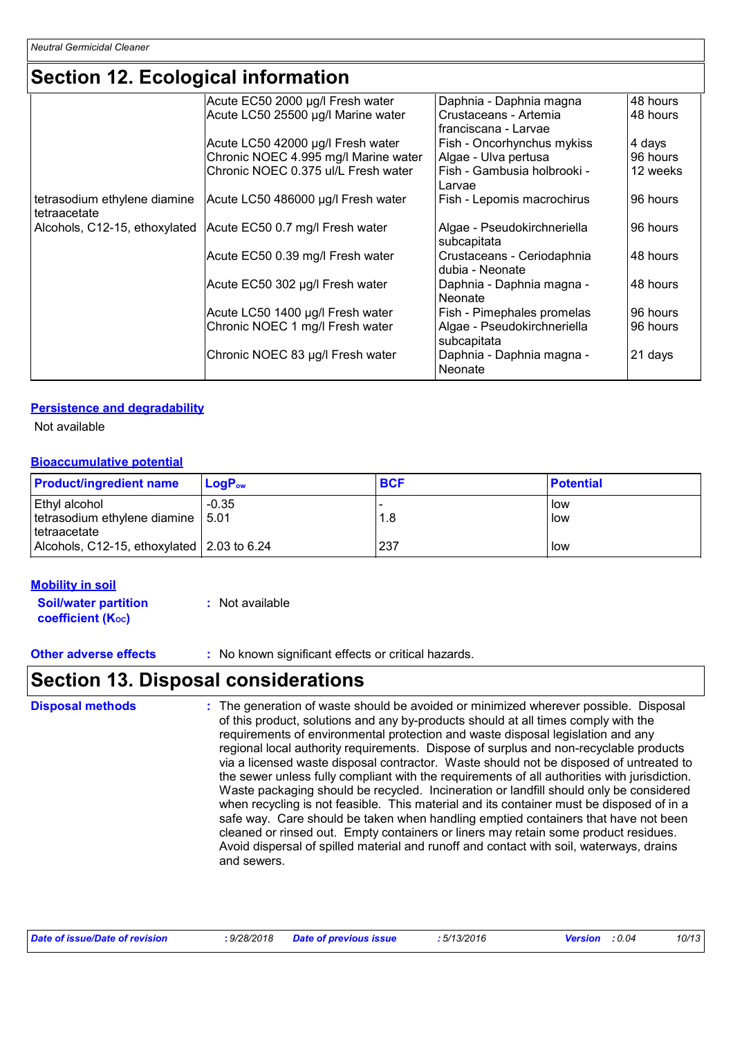### **Section 12. Ecological information**

|                                              | Acute EC50 2000 µg/l Fresh water     | Daphnia - Daphnia magna                       | 48 hours |
|----------------------------------------------|--------------------------------------|-----------------------------------------------|----------|
|                                              | Acute LC50 25500 µg/l Marine water   | Crustaceans - Artemia                         | 48 hours |
|                                              |                                      | I franciscana - Larvae                        |          |
|                                              | Acute LC50 42000 µg/l Fresh water    | Fish - Oncorhynchus mykiss                    | 4 days   |
|                                              | Chronic NOEC 4.995 mg/l Marine water | Algae - Ulva pertusa                          | 96 hours |
|                                              | Chronic NOEC 0.375 ul/L Fresh water  | Fish - Gambusia holbrooki -<br>Larvae         | 12 weeks |
| tetrasodium ethylene diamine<br>tetraacetate | Acute LC50 486000 µg/l Fresh water   | Fish - Lepomis macrochirus                    | 96 hours |
| Alcohols, C12-15, ethoxylated                | Acute EC50 0.7 mg/l Fresh water      | Algae - Pseudokirchneriella<br>subcapitata    | 96 hours |
|                                              | Acute EC50 0.39 mg/l Fresh water     | Crustaceans - Ceriodaphnia<br>dubia - Neonate | 48 hours |
|                                              | Acute EC50 302 µg/l Fresh water      | Daphnia - Daphnia magna -<br>Neonate          | 48 hours |
|                                              | Acute LC50 1400 µg/l Fresh water     | Fish - Pimephales promelas                    | 96 hours |
|                                              | Chronic NOEC 1 mg/l Fresh water      | Algae - Pseudokirchneriella<br>subcapitata    | 96 hours |
|                                              | Chronic NOEC 83 µg/l Fresh water     | Daphnia - Daphnia magna -<br>Neonate          | 21 days  |

#### **Persistence and degradability**

Not available

#### **Bioaccumulative potential**

| <b>Product/ingredient name</b>                                              | $LoaPow$ | <b>BCF</b> | <b>Potential</b> |
|-----------------------------------------------------------------------------|----------|------------|------------------|
| <b>Ethyl alcohol</b><br>tetrasodium ethylene diamine   5.01<br>tetraacetate | $-0.35$  | 1.8        | llow<br>low      |
| Alcohols, C12-15, ethoxylated 2.03 to 6.24                                  |          | 237        | low              |

#### **Mobility in soil**

**Soil/water partition coefficient (Koc) :** Not available

**Other adverse effects** : No known significant effects or critical hazards.

### **Section 13. Disposal considerations**

The generation of waste should be avoided or minimized wherever possible. Disposal of this product, solutions and any by-products should at all times comply with the requirements of environmental protection and waste disposal legislation and any regional local authority requirements. Dispose of surplus and non-recyclable products via a licensed waste disposal contractor. Waste should not be disposed of untreated to the sewer unless fully compliant with the requirements of all authorities with jurisdiction. Waste packaging should be recycled. Incineration or landfill should only be considered when recycling is not feasible. This material and its container must be disposed of in a safe way. Care should be taken when handling emptied containers that have not been cleaned or rinsed out. Empty containers or liners may retain some product residues. Avoid dispersal of spilled material and runoff and contact with soil, waterways, drains and sewers. **Disposal methods :**

| : 5/13/2016<br>: 9/28/2018 Date of previous issue<br>Date of issue/Date of revision<br><b>Version</b> : 0.04 |  |  |  |  |  | 10/13 |
|--------------------------------------------------------------------------------------------------------------|--|--|--|--|--|-------|
|--------------------------------------------------------------------------------------------------------------|--|--|--|--|--|-------|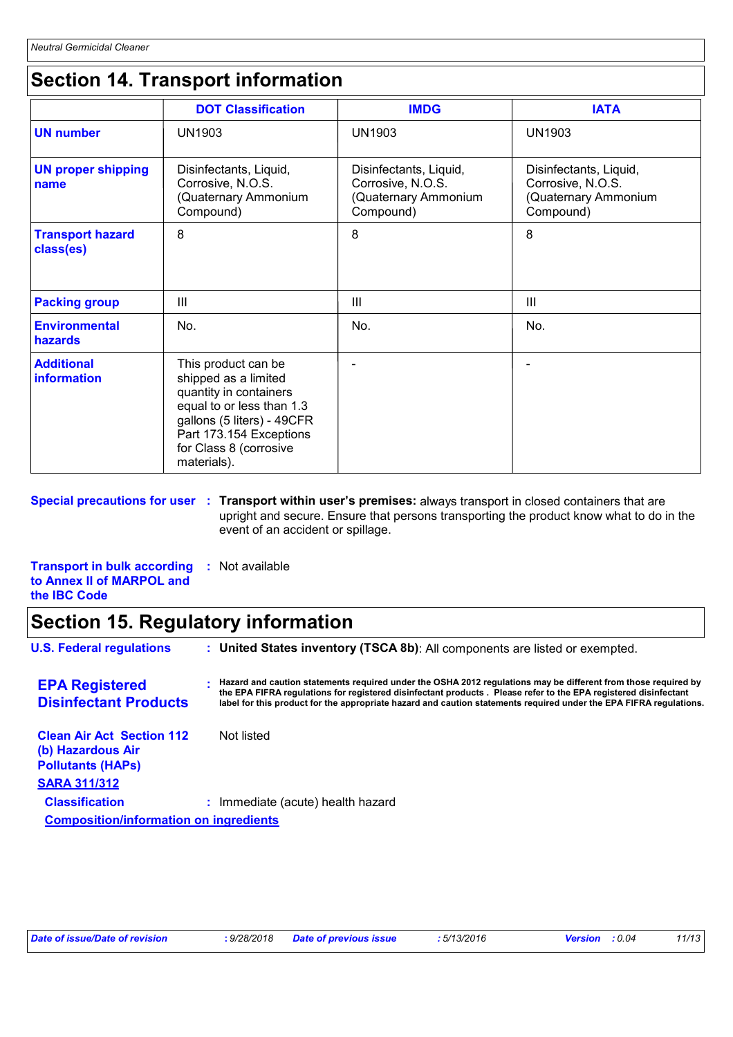# **Section 14. Transport information**

|                                      | <b>DOT Classification</b>                                                                                                                                                                            | <b>IMDG</b>                                                                      | <b>IATA</b>                                                                      |
|--------------------------------------|------------------------------------------------------------------------------------------------------------------------------------------------------------------------------------------------------|----------------------------------------------------------------------------------|----------------------------------------------------------------------------------|
| <b>UN number</b>                     | UN1903                                                                                                                                                                                               | <b>UN1903</b>                                                                    | <b>UN1903</b>                                                                    |
| <b>UN proper shipping</b><br>name    | Disinfectants, Liquid,<br>Corrosive, N.O.S.<br>(Quaternary Ammonium<br>Compound)                                                                                                                     | Disinfectants, Liquid,<br>Corrosive, N.O.S.<br>(Quaternary Ammonium<br>Compound) | Disinfectants, Liquid,<br>Corrosive, N.O.S.<br>(Quaternary Ammonium<br>Compound) |
| <b>Transport hazard</b><br>class(es) | 8                                                                                                                                                                                                    | 8                                                                                | 8                                                                                |
| <b>Packing group</b>                 | $\mathbf{III}$                                                                                                                                                                                       | $\mathbf{III}$                                                                   | $\mathbf{III}$                                                                   |
| <b>Environmental</b><br>hazards      | No.                                                                                                                                                                                                  | No.                                                                              | No.                                                                              |
| <b>Additional</b><br>information     | This product can be<br>shipped as a limited<br>quantity in containers<br>equal to or less than 1.3<br>gallons (5 liters) - 49CFR<br>Part 173.154 Exceptions<br>for Class 8 (corrosive<br>materials). |                                                                                  |                                                                                  |

#### **Special precautions for user Transport within user's premises:** always transport in closed containers that are **:** upright and secure. Ensure that persons transporting the product know what to do in the event of an accident or spillage.

**Transport in bulk according :** Not available **to Annex II of MARPOL and the IBC Code**

### **Section 15. Regulatory information**

**U.S. Federal regulations : Clean Air Act Section 112 (b) Hazardous Air Pollutants (HAPs) : Hazard and caution statements required under the OSHA 2012 regulations may be different from those required by**  Not listed **EPA Registered Disinfectant Products United States inventory (TSCA 8b)**: All components are listed or exempted. **SARA 311/312 Classification :** Immediate (acute) health hazard **Composition/information on ingredients the EPA FIFRA regulations for registered disinfectant products . Please refer to the EPA registered disinfectant label for this product for the appropriate hazard and caution statements required under the EPA FIFRA regulations.**

| : 9/28/2018 Date of previous issue<br>Date of issue/Date of revision | : 5/13/2016<br><b>Version</b> : 0.04 | 11/13 |
|----------------------------------------------------------------------|--------------------------------------|-------|
|----------------------------------------------------------------------|--------------------------------------|-------|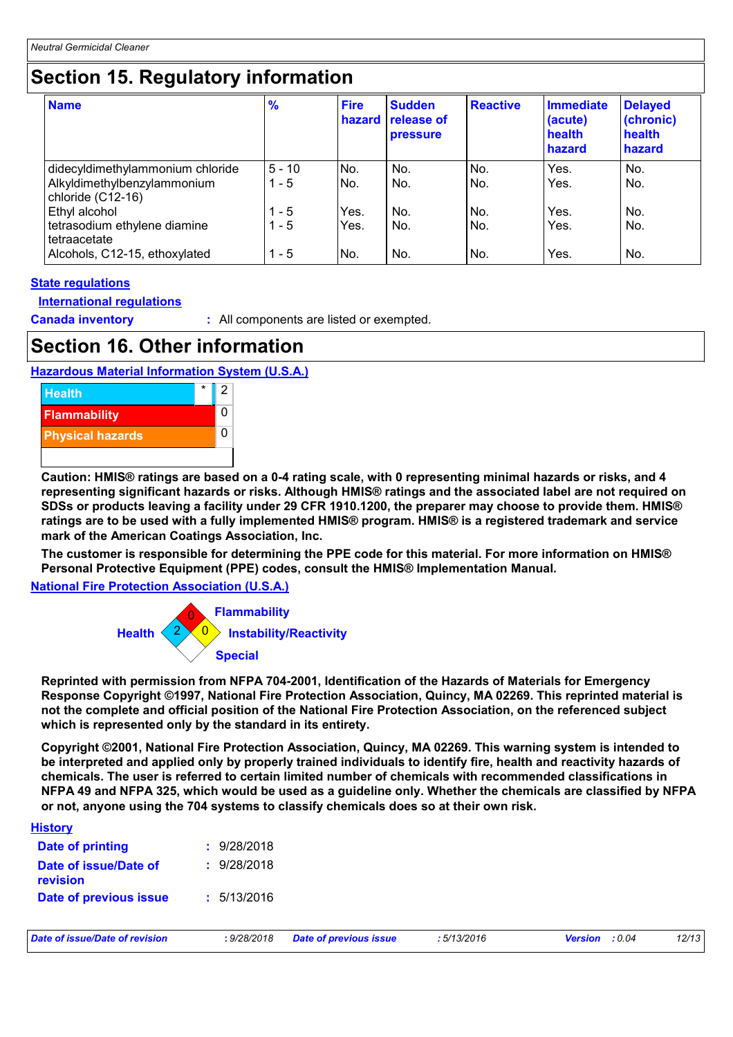### **Section 15. Regulatory information**

| <b>Name</b>                                                                          | $\frac{9}{6}$       | <b>Fire</b><br><b>hazard</b> | <b>Sudden</b><br><b>release of</b><br><b>pressure</b> | <b>Reactive</b> | <b>Immediate</b><br>(acute)<br>health<br>hazard | <b>Delayed</b><br>(chronic)<br>health<br>hazard |
|--------------------------------------------------------------------------------------|---------------------|------------------------------|-------------------------------------------------------|-----------------|-------------------------------------------------|-------------------------------------------------|
| didecyldimethylammonium chloride<br>Alkyldimethylbenzylammonium<br>chloride (C12-16) | $5 - 10$<br>$1 - 5$ | No.<br>No.                   | No.<br>No.                                            | No.<br>No.      | Yes.<br>Yes.                                    | No.<br>No.                                      |
| Ethyl alcohol<br>tetrasodium ethylene diamine<br>tetraacetate                        | $1 - 5$<br>$1 - 5$  | Yes.<br>Yes.                 | No.<br>No.                                            | No.<br>No.      | Yes.<br>Yes.                                    | No.<br>No.                                      |
| Alcohols, C12-15, ethoxylated                                                        | $1 - 5$             | No.                          | No.                                                   | No.             | Yes.                                            | No.                                             |

#### **State regulations**

**International regulations**

**Canada inventory :** All components are listed or exempted.

### **Section 16. Other information**





**Caution: HMIS® ratings are based on a 0-4 rating scale, with 0 representing minimal hazards or risks, and 4 representing significant hazards or risks. Although HMIS® ratings and the associated label are not required on SDSs or products leaving a facility under 29 CFR 1910.1200, the preparer may choose to provide them. HMIS® ratings are to be used with a fully implemented HMIS® program. HMIS® is a registered trademark and service mark of the American Coatings Association, Inc.**

**The customer is responsible for determining the PPE code for this material. For more information on HMIS® Personal Protective Equipment (PPE) codes, consult the HMIS® Implementation Manual.**

**National Fire Protection Association (U.S.A.)**



**Reprinted with permission from NFPA 704-2001, Identification of the Hazards of Materials for Emergency Response Copyright ©1997, National Fire Protection Association, Quincy, MA 02269. This reprinted material is not the complete and official position of the National Fire Protection Association, on the referenced subject which is represented only by the standard in its entirety.**

**Copyright ©2001, National Fire Protection Association, Quincy, MA 02269. This warning system is intended to be interpreted and applied only by properly trained individuals to identify fire, health and reactivity hazards of chemicals. The user is referred to certain limited number of chemicals with recommended classifications in NFPA 49 and NFPA 325, which would be used as a guideline only. Whether the chemicals are classified by NFPA or not, anyone using the 704 systems to classify chemicals does so at their own risk.**

| Date of issue/Date of revision    | : 9/28/2018 | <b>Date of previous issue</b> | :5/13/2016 | : 0.04<br><b>Version</b> | 12/13 |
|-----------------------------------|-------------|-------------------------------|------------|--------------------------|-------|
| Date of previous issue            | 5/13/2016   |                               |            |                          |       |
| Date of issue/Date of<br>revision | 9/28/2018   |                               |            |                          |       |
| Date of printing                  | : 9/28/2018 |                               |            |                          |       |
| <b>History</b>                    |             |                               |            |                          |       |